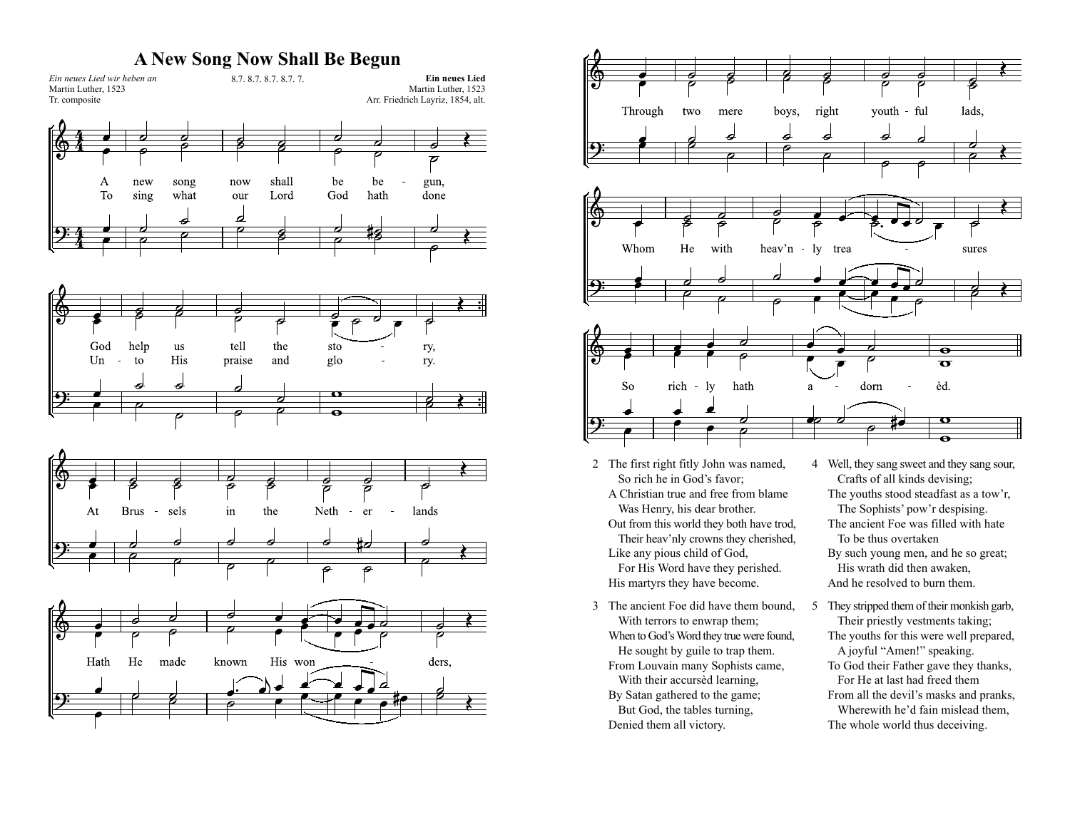#### **A New Song Now Shall Be Begun**





- 2 The first right fitly John was named, So rich he in God's favor; A Christian true and free from blame Was Henry, his dear brother. Out from this world they both have trod, Their heav'nly crowns they cherished, Like any pious child of God, For His Word have they perished. His martyrs they have become.
- 3 The ancient Foe did have them bound, With terrors to enwrap them; When to God's Word they true were found, He sought by guile to trap them. From Louvain many Sophists came, With their accursèd learning, By Satan gathered to the game; But God, the tables turning, Denied them all victory.
- 4 Well, they sang sweet and they sang sour, Crafts of all kinds devising; The youths stood steadfast as a tow'r, The Sophists' pow'r despising. The ancient Foe was filled with hate To be thus overtaken By such young men, and he so great; His wrath did then awaken, And he resolved to burn them.
- 5 They stripped them of their monkish garb, Their priestly vestments taking; The youths for this were well prepared, A joyful "Amen!" speaking. To God their Father gave they thanks, For He at last had freed them From all the devil's masks and pranks, Wherewith he'd fain mislead them, The whole world thus deceiving.